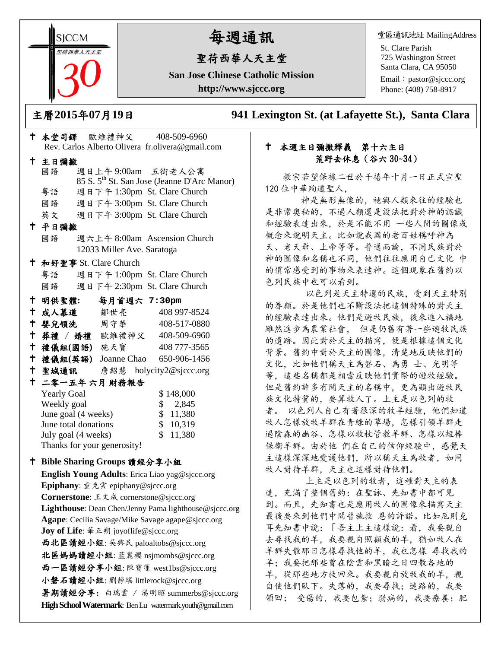**SICCM** 聖荷西華人天主堂 

# 每週通訊

# 聖荷西華人天主堂

**San Jose Chinese Catholic Mission http://www.sjccc.org**

堂區通訊地址 MailingAddress

St. Clare Parish 725 Washington Street Santa Clara, CA 95050

Email: [pastor@sjccc.org](mailto:pastor@sjccc.org) Phone: (408) 758-8917

主曆**2015**年**07**月**19**日 **941 Lexington St. (at Lafayette St.), Santa Clara** 

# 本堂司鐸 歐維禮神父 408-509-6960 Rev. Carlos Alberto Olivera fr.olivera@gmail.com 主日彌撒 國語 週日上午 9:00am 五街老人公寓 85 S. 5th St. San Jose (Jeanne D'Arc Manor) 粵語 週日下午 1:30pm St. Clare Church 國語 週日下午 3:00pm St. Clare Church 英文 週日下午 3:00pm St. Clare Church 平日彌撒 國語 週六上午 8:00am Ascension Church 12033 Miller Ave. Saratoga 和好聖事 St. Clare Church 粵語 週日下午 1:00pm St. Clare Church 國語 週日下午 2:30pm St. Clare Church 明供聖體**:** 每月首週六 **7:30pm** 成人慕道 鄒世亮 408 997-8524 嬰兒領洗 周守華 408-517-0880 葬禮 / 婚禮 歐維禮神父 408-509-6960 禮儀組**(**國語**)** 施天寶 408 777-3565 禮儀組**(**英語**)** Joanne Chao 650-906-1456 聖城通訊 詹紹慧 holycity2@sjccc.org 二零一五年 六月 財務報告 Yearly Goal \$ 148,000 Weekly goal \$ 2,845 June goal (4 weeks) \$ 11,380 June total donations \$ 10,319 July goal (4 weeks)  $$11,380$ Thanks for your generosity! **Bible Sharing Groups** 讀經分享小組 **English Young Adults**: Erica Liao [yag@sjccc.org](mailto:yag@sjccc.org) **Epiphany**: 童克雲 [epiphany@sjccc.org](mailto:epiphany@sjccc.org) **Cornerstone**: 王文成 [cornerstone@sjccc.org](mailto:cornerstone@sjccc.org) **Lighthouse**: Dean Chen/Jenny Pama [lighthouse@sjccc.org](mailto:lighthouse@sjccc.org) **Agape**: Cecilia Savage/Mike Savage [agape@sjccc.org](mailto:agape@sjccc.org) **Joy of Life**: 華正朔 [joyoflife@sjccc.org](mailto:joyoflife@sjccc.org) 西北區讀經小組: 吳興民 [paloaltobs@sjccc.org](mailto:paloaltobs@sjccc.org) 北區媽媽讀經小組: 藍麗櫻 [nsjmombs@sjccc.org](mailto:nsjmombs@sjccc.org)

西一區讀經分享小組: 陳寶蓮 [west1bs@sjccc.org](mailto:west1bs@sjccc.org) 小磐石讀經小組: 劉靜瑤 [littlerock@sjccc.org](mailto:littlerock@sjccc.org)

暑期讀經分享: 白瑞雲 / 湯明昭 [summerbs@sjccc.org](mailto:summerbs@sjccc.org) **High School Watermark**: Ben Lu [watermark.youth@gmail.com](mailto:watermark.youth@gmail.com)

# 本週主日彌撒釋義 第十六主日 荒野去休息(谷六 30~34)

教宗若望保祿二世於千禧年十月一日正式宣聖 120 位中華殉道聖人,

神是無形無像的,祂與人類來往的經驗也 是非常奧秘的,不過人類還是設法把對於神的認識 和經驗表達出來,於是不能不用 一些人間的圖像或 概念來說明天主。比如說我國的老百姓稱呼神為 天、老天爺、上帝等等。普通而論,不同民族對於 神的圖像和名稱也不同,他們往往應用自己文化 中 的慣常感受到的事物來表達神。這個現象在舊約以 色列民族中也可以看到。

 以色列是天主特選的民族,受到天主特別 的眷顧。於是他們也不斷設法把這個特殊的對天主 的經驗表達出來。他們是遊牧民族,後來進入福地 雖然進步為農業社會, 但是仍舊有著一些遊牧民族 的遺跡。因此對於天主的描寫,便是根據這個文化 背景。舊約中對於天主的圖像,清楚地反映他們的 文化,比如他們稱天主為磐石、為勇 士、光明等 等,這些名稱都是相當反映他們實際的遊牧經驗。 但是舊約許多有關天主的名稱中,更為顯出遊牧民 族文化特質的,要算牧人了。上主是以色列的牧 者。 以色列人自己有著很深的牧羊經驗,他們知道 牧人怎樣放牧羊群在青綠的草場,怎樣引領羊群走 過陰森的幽谷、怎樣以牧杖管教羊群、怎樣以短棒 保衛羊群。由於他 們在自己的信仰經驗中,感覺天 主這樣深深地愛護他們,所以稱天主為牧者,如同 牧人對待羊群,天主也這樣對待他們。

 上主是以色列的牧者,這種對天主的表 達,充滿了整個舊約:在聖詠、先知書中都可見 到。而且,先知書也是應用牧人的圖像來描寫天主 最後要來到他們中間普施救 恩的許諾。比如厄則克 耳先知書中說:「吾主上主這樣說:看,我要親自 去尋找我的羊,我要親自照顧我的羊,猶如牧人在 羊群失散那日怎樣尋找他的羊,我也怎樣 尋找我的 羊;我要把那些曾在陰雲和黑暗之日四散各地的 羊,從那些地方救回來。我要親自放牧我的羊,親 自使他們臥下。失落的,我要尋找;迷路的,我要 領回; 受傷的,我要包紮;弱病的,我要療養;肥